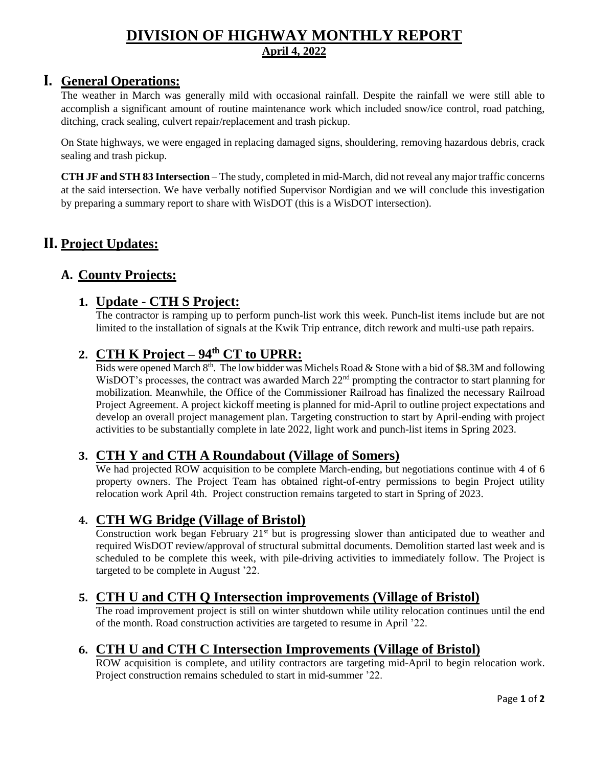### **DIVISION OF HIGHWAY MONTHLY REPORT April 4, 2022**

### **I. General Operations:**

The weather in March was generally mild with occasional rainfall. Despite the rainfall we were still able to accomplish a significant amount of routine maintenance work which included snow/ice control, road patching, ditching, crack sealing, culvert repair/replacement and trash pickup.

On State highways, we were engaged in replacing damaged signs, shouldering, removing hazardous debris, crack sealing and trash pickup.

**CTH JF and STH 83 Intersection** – The study, completed in mid-March, did not reveal any major traffic concerns at the said intersection. We have verbally notified Supervisor Nordigian and we will conclude this investigation by preparing a summary report to share with WisDOT (this is a WisDOT intersection).

# **II. Project Updates:**

## **A. County Projects:**

### **1. Update - CTH S Project:**

The contractor is ramping up to perform punch-list work this week. Punch-list items include but are not limited to the installation of signals at the Kwik Trip entrance, ditch rework and multi-use path repairs.

# **2. CTH K Project – 94th CT to UPRR:**

Bids were opened March  $8<sup>th</sup>$ . The low bidder was Michels Road & Stone with a bid of \$8.3M and following WisDOT's processes, the contract was awarded March 22<sup>nd</sup> prompting the contractor to start planning for mobilization. Meanwhile, the Office of the Commissioner Railroad has finalized the necessary Railroad Project Agreement. A project kickoff meeting is planned for mid-April to outline project expectations and develop an overall project management plan. Targeting construction to start by April-ending with project activities to be substantially complete in late 2022, light work and punch-list items in Spring 2023.

#### **3. CTH Y and CTH A Roundabout (Village of Somers)**

We had projected ROW acquisition to be complete March-ending, but negotiations continue with 4 of 6 property owners. The Project Team has obtained right-of-entry permissions to begin Project utility relocation work April 4th. Project construction remains targeted to start in Spring of 2023.

#### **4. CTH WG Bridge (Village of Bristol)**

Construction work began February 21<sup>st</sup> but is progressing slower than anticipated due to weather and required WisDOT review/approval of structural submittal documents. Demolition started last week and is scheduled to be complete this week, with pile-driving activities to immediately follow. The Project is targeted to be complete in August '22.

#### **5. CTH U and CTH Q Intersection improvements (Village of Bristol)**

The road improvement project is still on winter shutdown while utility relocation continues until the end of the month. Road construction activities are targeted to resume in April '22.

### **6. CTH U and CTH C Intersection Improvements (Village of Bristol)**

ROW acquisition is complete, and utility contractors are targeting mid-April to begin relocation work. Project construction remains scheduled to start in mid-summer '22.